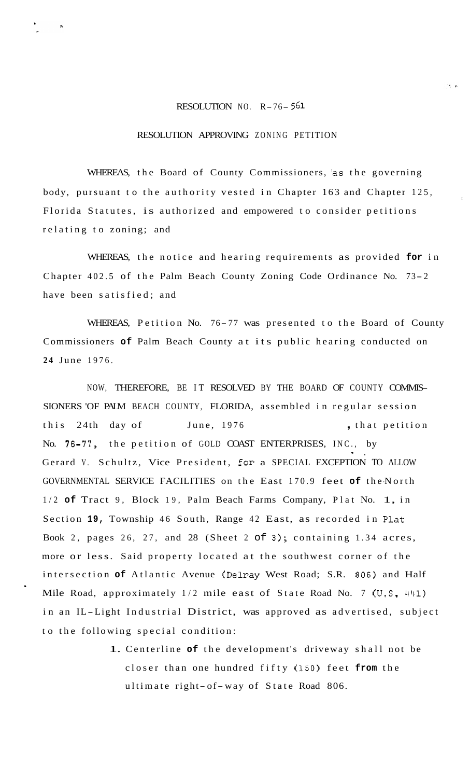## RESOLUTION NO. R-76- **<sup>561</sup>**

## RESOLUTION APPROVING ZONING PETITION

WHEREAS, the Board of County Commissioners, 'as the governing body, pursuant to the authority vested in Chapter 163 and Chapter 125, Florida Statutes, is authorized and empowered to consider petitions relating to zoning; and

I

WHEREAS, the notice and hearing requirements as provided **for** in Chapter 402.5 of the Palm Beach County Zoning Code Ordinance No. 73- <sup>2</sup> have been satisfied; and

WHEREAS, Petition No. 76-77 was presented to the Board of County Commissioners **of** Palm Beach County at its public hearing conducted on **24** June 1976.

NOW, THEREFORE, BE IT RESOLVED BY THE BOARD OF COUNTY COMMIS-SIONERS 'OF PALM BEACH COUNTY, FLORIDA, assembled in regular session this 24th day of June, 1976 , that petition No. **76-77,** the petition of GOLD COAST ENTERPRISES, INC., by Gerard V. Schultz, Vice President, for a SPECIAL EXCEPTION TO ALLOW GOVERNMENTAL SERVICE FACILITIES on the East 170.9 feet **of** the -North **9,**  1/2 **of** Tract 9, Block 19, Palm Beach Farms Company, Plat No. 1, in Section **19,** Township 46 South, Range 42 East, as recorded in Plat Book 2, pages 26, 27, and 28 (Sheet 2 of **3);** containing 1.34 acres, more or less. Said property located at the southwest corner of the intersection **of** Atlantic Avenue (Delray West Road; S.R. **806)** and Half Mile Road, approximately 1/2 mile east of State Road No. 7 **(U.S. 441)**  in an IL-Light Industrial District, was approved as advertised, subject to the following special condition:

> 1. Centerline **of** the development's driveway shall not be closer than one hundred fifty **(150)** feet **from** the ultimate right- of-way of State Road 806.